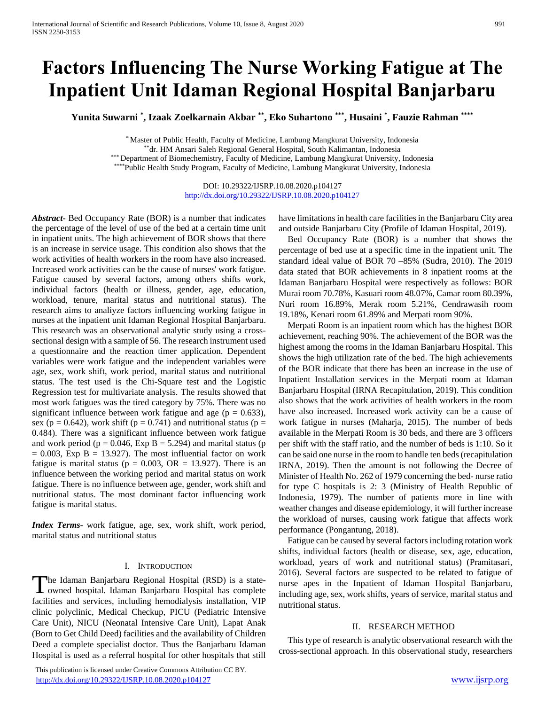# **Factors Influencing The Nurse Working Fatigue at The Inpatient Unit Idaman Regional Hospital Banjarbaru**

**Yunita Suwarni \* , Izaak Zoelkarnain Akbar \*\* , Eko Suhartono \*\*\* , Husaini \* , Fauzie Rahman \*\*\*\***

\* Master of Public Health, Faculty of Medicine, Lambung Mangkurat University, Indonesia \*\*dr. HM Ansari Saleh Regional General Hospital, South Kalimantan, Indonesia \*\*\* Department of Biomechemistry, Faculty of Medicine, Lambung Mangkurat University, Indonesia \*\*\*\*Public Health Study Program, Faculty of Medicine, Lambung Mangkurat University, Indonesia

> DOI: 10.29322/IJSRP.10.08.2020.p104127 <http://dx.doi.org/10.29322/IJSRP.10.08.2020.p104127>

*Abstract***-** Bed Occupancy Rate (BOR) is a number that indicates the percentage of the level of use of the bed at a certain time unit in inpatient units. The high achievement of BOR shows that there is an increase in service usage. This condition also shows that the work activities of health workers in the room have also increased. Increased work activities can be the cause of nurses' work fatigue. Fatigue caused by several factors, among others shifts work, individual factors (health or illness, gender, age, education, workload, tenure, marital status and nutritional status). The research aims to analiyze factors influencing working fatigue in nurses at the inpatient unit Idaman Regional Hospital Banjarbaru. This research was an observational analytic study using a crosssectional design with a sample of 56. The research instrument used a questionnaire and the reaction timer application. Dependent variables were work fatigue and the independent variables were age, sex, work shift, work period, marital status and nutritional status. The test used is the Chi-Square test and the Logistic Regression test for multivariate analysis. The results showed that most work fatigues was the tired category by 75%. There was no significant influence between work fatigue and age ( $p = 0.633$ ), sex ( $p = 0.642$ ), work shift ( $p = 0.741$ ) and nutritional status ( $p =$ 0.484). There was a significant influence between work fatigue and work period ( $p = 0.046$ , Exp B = 5.294) and marital status (p  $= 0.003$ , Exp B = 13.927). The most influential factor on work fatigue is marital status ( $p = 0.003$ , OR = 13.927). There is an influence between the working period and marital status on work fatigue. There is no influence between age, gender, work shift and nutritional status. The most dominant factor influencing work fatigue is marital status.

*Index Terms*- work fatigue, age, sex, work shift, work period, marital status and nutritional status

#### I. INTRODUCTION

The Idaman Banjarbaru Regional Hospital (RSD) is a state-<br>
owned hospital. Idaman Banjarbaru Hospital has complete **L** owned hospital. Idaman Banjarbaru Hospital has complete facilities and services, including hemodialysis installation, VIP clinic polyclinic, Medical Checkup, PICU (Pediatric Intensive Care Unit), NICU (Neonatal Intensive Care Unit), Lapat Anak (Born to Get Child Deed) facilities and the availability of Children Deed a complete specialist doctor. Thus the Banjarbaru Idaman Hospital is used as a referral hospital for other hospitals that still

 This publication is licensed under Creative Commons Attribution CC BY. <http://dx.doi.org/10.29322/IJSRP.10.08.2020.p104127> [www.ijsrp.org](http://ijsrp.org/)

have limitations in health care facilities in the Banjarbaru City area and outside Banjarbaru City (Profile of Idaman Hospital, 2019).

Bed Occupancy Rate (BOR) is a number that shows the percentage of bed use at a specific time in the inpatient unit. The standard ideal value of BOR 70 –85% (Sudra, 2010). The 2019 data stated that BOR achievements in 8 inpatient rooms at the Idaman Banjarbaru Hospital were respectively as follows: BOR Murai room 70.78%, Kasuari room 48.07%, Camar room 80.39%, Nuri room 16.89%, Merak room 5.21%, Cendrawasih room 19.18%, Kenari room 61.89% and Merpati room 90%.

Merpati Room is an inpatient room which has the highest BOR achievement, reaching 90%. The achievement of the BOR was the highest among the rooms in the Idaman Banjarbaru Hospital. This shows the high utilization rate of the bed. The high achievements of the BOR indicate that there has been an increase in the use of Inpatient Installation services in the Merpati room at Idaman Banjarbaru Hospital (IRNA Recapitulation, 2019). This condition also shows that the work activities of health workers in the room have also increased. Increased work activity can be a cause of work fatigue in nurses (Maharja, 2015). The number of beds available in the Merpati Room is 30 beds, and there are 3 officers per shift with the staff ratio, and the number of beds is 1:10. So it can be said one nurse in the room to handle ten beds (recapitulation IRNA, 2019). Then the amount is not following the Decree of Minister of Health No. 262 of 1979 concerning the bed- nurse ratio for type C hospitals is 2: 3 (Ministry of Health Republic of Indonesia, 1979). The number of patients more in line with weather changes and disease epidemiology, it will further increase the workload of nurses, causing work fatigue that affects work performance (Pongantung, 2018).

Fatigue can be caused by several factors including rotation work shifts, individual factors (health or disease, sex, age, education, workload, years of work and nutritional status) (Pramitasari, 2016). Several factors are suspected to be related to fatigue of nurse apes in the Inpatient of Idaman Hospital Banjarbaru, including age, sex, work shifts, years of service, marital status and nutritional status.

## II. RESEARCH METHOD

This type of research is analytic observational research with the cross-sectional approach. In this observational study, researchers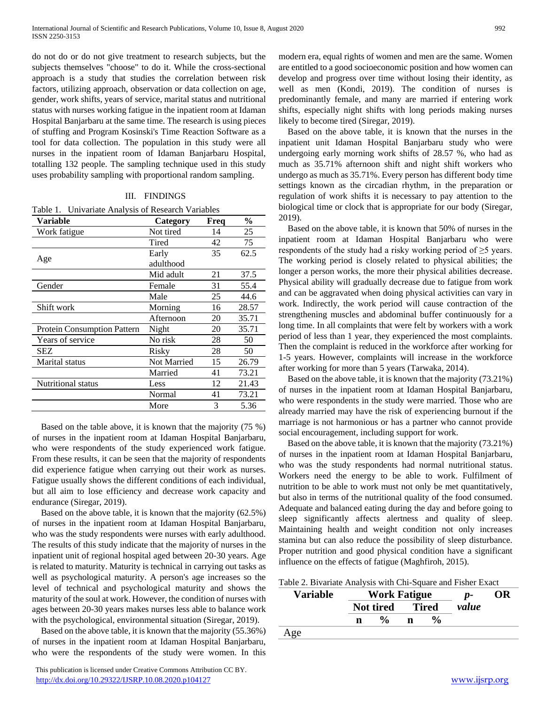do not do or do not give treatment to research subjects, but the subjects themselves "choose" to do it. While the cross-sectional approach is a study that studies the correlation between risk factors, utilizing approach, observation or data collection on age, gender, work shifts, years of service, marital status and nutritional status with nurses working fatigue in the inpatient room at Idaman Hospital Banjarbaru at the same time. The research is using pieces of stuffing and Program Kosinski's Time Reaction Software as a tool for data collection. The population in this study were all nurses in the inpatient room of Idaman Banjarbaru Hospital, totalling 132 people. The sampling technique used in this study uses probability sampling with proportional random sampling.

## III. FINDINGS

Table 1. Univariate Analysis of Research Variables

| <b>Variable</b>             | Category           | Freq | $\frac{0}{0}$ |
|-----------------------------|--------------------|------|---------------|
| Work fatigue                | Not tired          | 14   | 25            |
|                             | Tired              | 42   | 75            |
|                             | Early              | 35   | 62.5          |
| Age                         | adulthood          |      |               |
|                             | Mid adult          | 21   | 37.5          |
| Gender                      | Female             | 31   | 55.4          |
|                             | Male               | 25   | 44.6          |
| Shift work                  | Morning            | 16   | 28.57         |
|                             | Afternoon          | 20   | 35.71         |
| Protein Consumption Pattern | Night              | 20   | 35.71         |
| Years of service            | No risk            | 28   | 50            |
| <b>SEZ</b>                  | Risky              | 28   | 50            |
| Marital status              | <b>Not Married</b> | 15   | 26.79         |
|                             | Married            | 41   | 73.21         |
| Nutritional status          | Less               | 12   | 21.43         |
|                             | Normal             | 41   | 73.21         |
|                             | More               | 3    | 5.36          |

Based on the table above, it is known that the majority (75 %) of nurses in the inpatient room at Idaman Hospital Banjarbaru, who were respondents of the study experienced work fatigue. From these results, it can be seen that the majority of respondents did experience fatigue when carrying out their work as nurses. Fatigue usually shows the different conditions of each individual, but all aim to lose efficiency and decrease work capacity and endurance (Siregar, 2019).

Based on the above table, it is known that the majority (62.5%) of nurses in the inpatient room at Idaman Hospital Banjarbaru, who was the study respondents were nurses with early adulthood. The results of this study indicate that the majority of nurses in the inpatient unit of regional hospital aged between 20-30 years. Age is related to maturity. Maturity is technical in carrying out tasks as well as psychological maturity. A person's age increases so the level of technical and psychological maturity and shows the maturity of the soul at work. However, the condition of nurses with ages between 20-30 years makes nurses less able to balance work with the psychological, environmental situation (Siregar, 2019).

Based on the above table, it is known that the majority (55.36%) of nurses in the inpatient room at Idaman Hospital Banjarbaru, who were the respondents of the study were women. In this

 This publication is licensed under Creative Commons Attribution CC BY. <http://dx.doi.org/10.29322/IJSRP.10.08.2020.p104127> [www.ijsrp.org](http://ijsrp.org/)

modern era, equal rights of women and men are the same. Women are entitled to a good socioeconomic position and how women can develop and progress over time without losing their identity, as well as men (Kondi, 2019). The condition of nurses is predominantly female, and many are married if entering work shifts, especially night shifts with long periods making nurses likely to become tired (Siregar, 2019).

Based on the above table, it is known that the nurses in the inpatient unit Idaman Hospital Banjarbaru study who were undergoing early morning work shifts of 28.57 %, who had as much as 35.71% afternoon shift and night shift workers who undergo as much as 35.71%. Every person has different body time settings known as the circadian rhythm, in the preparation or regulation of work shifts it is necessary to pay attention to the biological time or clock that is appropriate for our body (Siregar, 2019).

Based on the above table, it is known that 50% of nurses in the inpatient room at Idaman Hospital Banjarbaru who were respondents of the study had a risky working period of ≥5 years. The working period is closely related to physical abilities; the longer a person works, the more their physical abilities decrease. Physical ability will gradually decrease due to fatigue from work and can be aggravated when doing physical activities can vary in work. Indirectly, the work period will cause contraction of the strengthening muscles and abdominal buffer continuously for a long time. In all complaints that were felt by workers with a work period of less than 1 year, they experienced the most complaints. Then the complaint is reduced in the workforce after working for 1-5 years. However, complaints will increase in the workforce after working for more than 5 years (Tarwaka, 2014).

Based on the above table, it is known that the majority (73.21%) of nurses in the inpatient room at Idaman Hospital Banjarbaru, who were respondents in the study were married. Those who are already married may have the risk of experiencing burnout if the marriage is not harmonious or has a partner who cannot provide social encouragement, including support for work.

Based on the above table, it is known that the majority (73.21%) of nurses in the inpatient room at Idaman Hospital Banjarbaru, who was the study respondents had normal nutritional status. Workers need the energy to be able to work. Fulfilment of nutrition to be able to work must not only be met quantitatively, but also in terms of the nutritional quality of the food consumed. Adequate and balanced eating during the day and before going to sleep significantly affects alertness and quality of sleep. Maintaining health and weight condition not only increases stamina but can also reduce the possibility of sleep disturbance. Proper nutrition and good physical condition have a significant influence on the effects of fatigue (Maghfiroh, 2015).

Table 2. Bivariate Analysis with Chi-Square and Fisher Exact

| <b>Variable</b> | <b>Work Fatigue</b> |                    |              | $p-$          | OR    |  |
|-----------------|---------------------|--------------------|--------------|---------------|-------|--|
|                 | Not tired           |                    | <b>Tired</b> |               | value |  |
|                 | n                   | $\frac{0}{\alpha}$ | n            | $\frac{0}{0}$ |       |  |
| Age             |                     |                    |              |               |       |  |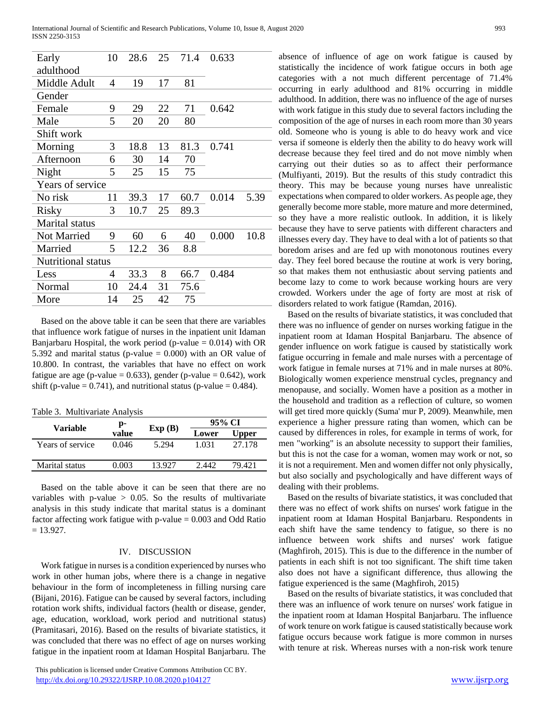| Early                 | 10 | 28.6 | 25 | 71.4 | 0.633 |      |
|-----------------------|----|------|----|------|-------|------|
| adulthood             |    |      |    |      |       |      |
| Middle Adult          | 4  | 19   | 17 | 81   |       |      |
| Gender                |    |      |    |      |       |      |
| Female                | 9  | 29   | 22 | 71   | 0.642 |      |
| Male                  | 5  | 20   | 20 | 80   |       |      |
| Shift work            |    |      |    |      |       |      |
| Morning               | 3  | 18.8 | 13 | 81.3 | 0.741 |      |
| Afternoon             | 6  | 30   | 14 | 70   |       |      |
| Night                 | 5  | 25   | 15 | 75   |       |      |
| Years of service      |    |      |    |      |       |      |
| No risk               | 11 | 39.3 | 17 | 60.7 | 0.014 | 5.39 |
| <b>Risky</b>          | 3  | 10.7 | 25 | 89.3 |       |      |
| <b>Marital</b> status |    |      |    |      |       |      |
| Not Married           | 9  | 60   | 6  | 40   | 0.000 | 10.8 |
| Married               | 5  | 12.2 | 36 | 8.8  |       |      |
| Nutritional status    |    |      |    |      |       |      |
| Less                  | 4  | 33.3 | 8  | 66.7 | 0.484 |      |
| Normal                | 10 | 24.4 | 31 | 75.6 |       |      |
| More                  | 14 | 25   | 42 | 75   |       |      |
|                       |    |      |    |      |       |      |

Based on the above table it can be seen that there are variables that influence work fatigue of nurses in the inpatient unit Idaman Banjarbaru Hospital, the work period (p-value  $= 0.014$ ) with OR 5.392 and marital status (p-value  $= 0.000$ ) with an OR value of 10.800. In contrast, the variables that have no effect on work fatigue are age (p-value =  $0.633$ ), gender (p-value =  $0.642$ ), work shift (p-value =  $0.741$ ), and nutritional status (p-value =  $0.484$ ).

Table 3. Multivariate Analysis

| Variable         | p-    | Exp(B) | 95% CI |              |  |
|------------------|-------|--------|--------|--------------|--|
|                  | value |        | Lower  | <b>Upper</b> |  |
| Years of service | 0.046 | 5.294  | 1.031  | 27.178       |  |
| Marital status   | 0.003 | 13.927 |        | 79 421       |  |
|                  |       |        |        |              |  |

Based on the table above it can be seen that there are no variables with p-value  $> 0.05$ . So the results of multivariate analysis in this study indicate that marital status is a dominant factor affecting work fatigue with  $p$ -value = 0.003 and Odd Ratio  $= 13.927.$ 

#### IV. DISCUSSION

Work fatigue in nurses is a condition experienced by nurses who work in other human jobs, where there is a change in negative behaviour in the form of incompleteness in filling nursing care (Bijani, 2016). Fatigue can be caused by several factors, including rotation work shifts, individual factors (health or disease, gender, age, education, workload, work period and nutritional status) (Pramitasari, 2016). Based on the results of bivariate statistics, it was concluded that there was no effect of age on nurses working fatigue in the inpatient room at Idaman Hospital Banjarbaru. The

 This publication is licensed under Creative Commons Attribution CC BY. <http://dx.doi.org/10.29322/IJSRP.10.08.2020.p104127> [www.ijsrp.org](http://ijsrp.org/)

absence of influence of age on work fatigue is caused by statistically the incidence of work fatigue occurs in both age categories with a not much different percentage of 71.4% occurring in early adulthood and 81% occurring in middle adulthood. In addition, there was no influence of the age of nurses with work fatigue in this study due to several factors including the composition of the age of nurses in each room more than 30 years old. Someone who is young is able to do heavy work and vice versa if someone is elderly then the ability to do heavy work will decrease because they feel tired and do not move nimbly when carrying out their duties so as to affect their performance (Mulfiyanti, 2019). But the results of this study contradict this theory. This may be because young nurses have unrealistic expectations when compared to older workers. As people age, they generally become more stable, more mature and more determined, so they have a more realistic outlook. In addition, it is likely because they have to serve patients with different characters and illnesses every day. They have to deal with a lot of patients so that boredom arises and are fed up with monotonous routines every day. They feel bored because the routine at work is very boring, so that makes them not enthusiastic about serving patients and become lazy to come to work because working hours are very crowded. Workers under the age of forty are most at risk of disorders related to work fatigue (Ramdan, 2016).

Based on the results of bivariate statistics, it was concluded that there was no influence of gender on nurses working fatigue in the inpatient room at Idaman Hospital Banjarbaru. The absence of gender influence on work fatigue is caused by statistically work fatigue occurring in female and male nurses with a percentage of work fatigue in female nurses at 71% and in male nurses at 80%. Biologically women experience menstrual cycles, pregnancy and menopause, and socially. Women have a position as a mother in the household and tradition as a reflection of culture, so women will get tired more quickly (Suma' mur P, 2009). Meanwhile, men experience a higher pressure rating than women, which can be caused by differences in roles, for example in terms of work, for men "working" is an absolute necessity to support their families, but this is not the case for a woman, women may work or not, so it is not a requirement. Men and women differ not only physically, but also socially and psychologically and have different ways of dealing with their problems.

Based on the results of bivariate statistics, it was concluded that there was no effect of work shifts on nurses' work fatigue in the inpatient room at Idaman Hospital Banjarbaru. Respondents in each shift have the same tendency to fatigue, so there is no influence between work shifts and nurses' work fatigue (Maghfiroh, 2015). This is due to the difference in the number of patients in each shift is not too significant. The shift time taken also does not have a significant difference, thus allowing the fatigue experienced is the same (Maghfiroh, 2015)

Based on the results of bivariate statistics, it was concluded that there was an influence of work tenure on nurses' work fatigue in the inpatient room at Idaman Hospital Banjarbaru. The influence of work tenure on work fatigue is caused statistically because work fatigue occurs because work fatigue is more common in nurses with tenure at risk. Whereas nurses with a non-risk work tenure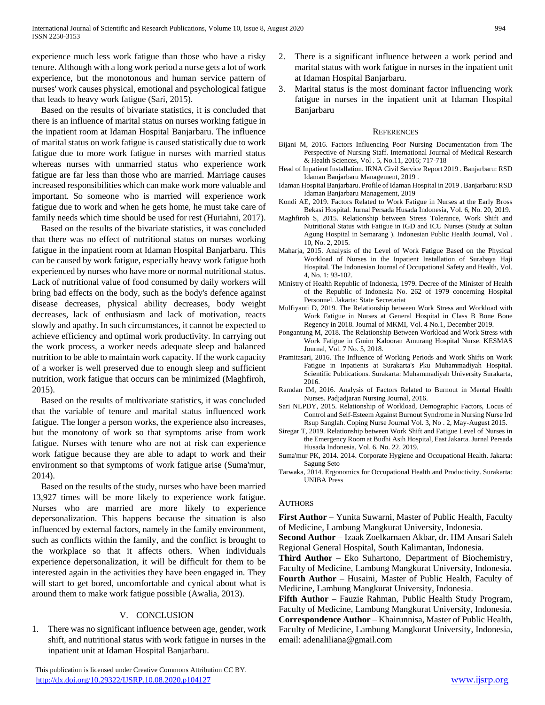experience much less work fatigue than those who have a risky tenure. Although with a long work period a nurse gets a lot of work experience, but the monotonous and human service pattern of nurses' work causes physical, emotional and psychological fatigue that leads to heavy work fatigue (Sari, 2015).

Based on the results of bivariate statistics, it is concluded that there is an influence of marital status on nurses working fatigue in the inpatient room at Idaman Hospital Banjarbaru. The influence of marital status on work fatigue is caused statistically due to work fatigue due to more work fatigue in nurses with married status whereas nurses with unmarried status who experience work fatigue are far less than those who are married. Marriage causes increased responsibilities which can make work more valuable and important. So someone who is married will experience work fatigue due to work and when he gets home, he must take care of family needs which time should be used for rest (Huriahni, 2017).

Based on the results of the bivariate statistics, it was concluded that there was no effect of nutritional status on nurses working fatigue in the inpatient room at Idaman Hospital Banjarbaru. This can be caused by work fatigue, especially heavy work fatigue both experienced by nurses who have more or normal nutritional status. Lack of nutritional value of food consumed by daily workers will bring bad effects on the body, such as the body's defence against disease decreases, physical ability decreases, body weight decreases, lack of enthusiasm and lack of motivation, reacts slowly and apathy. In such circumstances, it cannot be expected to achieve efficiency and optimal work productivity. In carrying out the work process, a worker needs adequate sleep and balanced nutrition to be able to maintain work capacity. If the work capacity of a worker is well preserved due to enough sleep and sufficient nutrition, work fatigue that occurs can be minimized (Maghfiroh, 2015).

Based on the results of multivariate statistics, it was concluded that the variable of tenure and marital status influenced work fatigue. The longer a person works, the experience also increases, but the monotony of work so that symptoms arise from work fatigue. Nurses with tenure who are not at risk can experience work fatigue because they are able to adapt to work and their environment so that symptoms of work fatigue arise (Suma'mur, 2014).

Based on the results of the study, nurses who have been married 13,927 times will be more likely to experience work fatigue. Nurses who are married are more likely to experience depersonalization. This happens because the situation is also influenced by external factors, namely in the family environment, such as conflicts within the family, and the conflict is brought to the workplace so that it affects others. When individuals experience depersonalization, it will be difficult for them to be interested again in the activities they have been engaged in. They will start to get bored, uncomfortable and cynical about what is around them to make work fatigue possible (Awalia, 2013).

## V. CONCLUSION

1. There was no significant influence between age, gender, work shift, and nutritional status with work fatigue in nurses in the inpatient unit at Idaman Hospital Banjarbaru.

- 2. There is a significant influence between a work period and marital status with work fatigue in nurses in the inpatient unit at Idaman Hospital Banjarbaru.
- 3. Marital status is the most dominant factor influencing work fatigue in nurses in the inpatient unit at Idaman Hospital Banjarbaru

### **REFERENCES**

- Bijani M, 2016. Factors Influencing Poor Nursing Documentation from The Perspective of Nursing Staff. International Journal of Medical Research & Health Sciences, Vol . 5, No.11, 2016; 717-718
- Head of Inpatient Installation. IRNA Civil Service Report 2019 . Banjarbaru: RSD Idaman Banjarbaru Management, 2019 .
- Idaman Hospital Banjarbaru. Profile of Idaman Hospital in 2019 . Banjarbaru: RSD Idaman Banjarbaru Management, 2019
- Kondi AE, 2019. Factors Related to Work Fatigue in Nurses at the Early Bross Bekasi Hospital. Jurnal Persada Husada Indonesia, Vol. 6, No. 20, 2019.
- Maghfiroh S, 2015. Relationship between Stress Tolerance, Work Shift and Nutritional Status with Fatigue in IGD and ICU Nurses (Study at Sultan Agung Hospital in Semarang ). Indonesian Public Health Journal, Vol . 10, No. 2, 2015.
- Maharja, 2015. Analysis of the Level of Work Fatigue Based on the Physical Workload of Nurses in the Inpatient Installation of Surabaya Haji Hospital. The Indonesian Journal of Occupational Safety and Health, Vol. 4, No. 1: 93-102.
- Ministry of Health Republic of Indonesia, 1979. Decree of the Minister of Health of the Republic of Indonesia No. 262 of 1979 concerning Hospital Personnel. Jakarta: State Secretariat
- Mulfiyanti D, 2019. The Relationship between Work Stress and Workload with Work Fatigue in Nurses at General Hospital in Class B Bone Bone Regency in 2018. Journal of MKMI, Vol. 4 No.1, December 2019.
- Pongantung M, 2018. The Relationship Between Workload and Work Stress with Work Fatigue in Gmim Kalooran Amurang Hospital Nurse. KESMAS Journal, Vol. 7 No. 5, 2018.
- Pramitasari, 2016. The Influence of Working Periods and Work Shifts on Work Fatigue in Inpatients at Surakarta's Pku Muhammadiyah Hospital. Scientific Publications. Surakarta: Muhammadiyah University Surakarta, 2016.
- Ramdan IM, 2016. Analysis of Factors Related to Burnout in Mental Health Nurses. Padjadjaran Nursing Journal, 2016.
- Sari NLPDY, 2015. Relationship of Workload, Demographic Factors, Locus of Control and Self-Esteem Against Burnout Syndrome in Nursing Nurse Ird Rsup Sanglah. Coping Nurse Journal Vol. 3, No . 2, May-August 2015.
- Siregar T, 2019. Relationship between Work Shift and Fatigue Level of Nurses in the Emergency Room at Budhi Asih Hospital, East Jakarta. Jurnal Persada Husada Indonesia, Vol. 6, No. 22, 2019.
- Suma'mur PK, 2014. 2014. Corporate Hygiene and Occupational Health. Jakarta: Sagung Seto
- Tarwaka, 2014. Ergonomics for Occupational Health and Productivity. Surakarta: UNIBA Press

## **AUTHORS**

**First Author** – Yunita Suwarni, Master of Public Health, Faculty of Medicine, Lambung Mangkurat University, Indonesia.

**Second Author** – Izaak Zoelkarnaen Akbar, dr. HM Ansari Saleh Regional General Hospital, South Kalimantan, Indonesia.

**Third Author** – Eko Suhartono, Department of Biochemistry, Faculty of Medicine, Lambung Mangkurat University, Indonesia. **Fourth Author** – Husaini, Master of Public Health, Faculty of Medicine, Lambung Mangkurat University, Indonesia.

**Fifth Author** – Fauzie Rahman, Public Health Study Program, Faculty of Medicine, Lambung Mangkurat University, Indonesia. **Correspondence Author** – Khairunnisa, Master of Public Health, Faculty of Medicine, Lambung Mangkurat University, Indonesia, email: adenaliliana@gmail.com